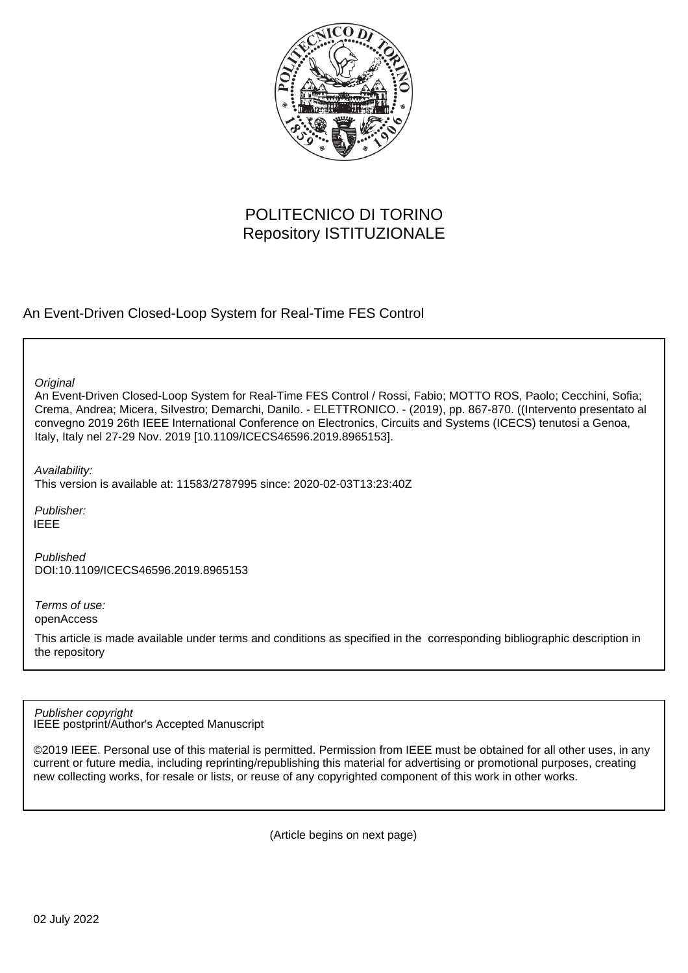

# POLITECNICO DI TORINO Repository ISTITUZIONALE

An Event-Driven Closed-Loop System for Real-Time FES Control

**Original** 

An Event-Driven Closed-Loop System for Real-Time FES Control / Rossi, Fabio; MOTTO ROS, Paolo; Cecchini, Sofia; Crema, Andrea; Micera, Silvestro; Demarchi, Danilo. - ELETTRONICO. - (2019), pp. 867-870. ((Intervento presentato al convegno 2019 26th IEEE International Conference on Electronics, Circuits and Systems (ICECS) tenutosi a Genoa, Italy, Italy nel 27-29 Nov. 2019 [10.1109/ICECS46596.2019.8965153].

Availability:

This version is available at: 11583/2787995 since: 2020-02-03T13:23:40Z

Publisher: IEEE

Published DOI:10.1109/ICECS46596.2019.8965153

Terms of use: openAccess

This article is made available under terms and conditions as specified in the corresponding bibliographic description in the repository

IEEE postprint/Author's Accepted Manuscript Publisher copyright

©2019 IEEE. Personal use of this material is permitted. Permission from IEEE must be obtained for all other uses, in any current or future media, including reprinting/republishing this material for advertising or promotional purposes, creating new collecting works, for resale or lists, or reuse of any copyrighted component of this work in other works.

(Article begins on next page)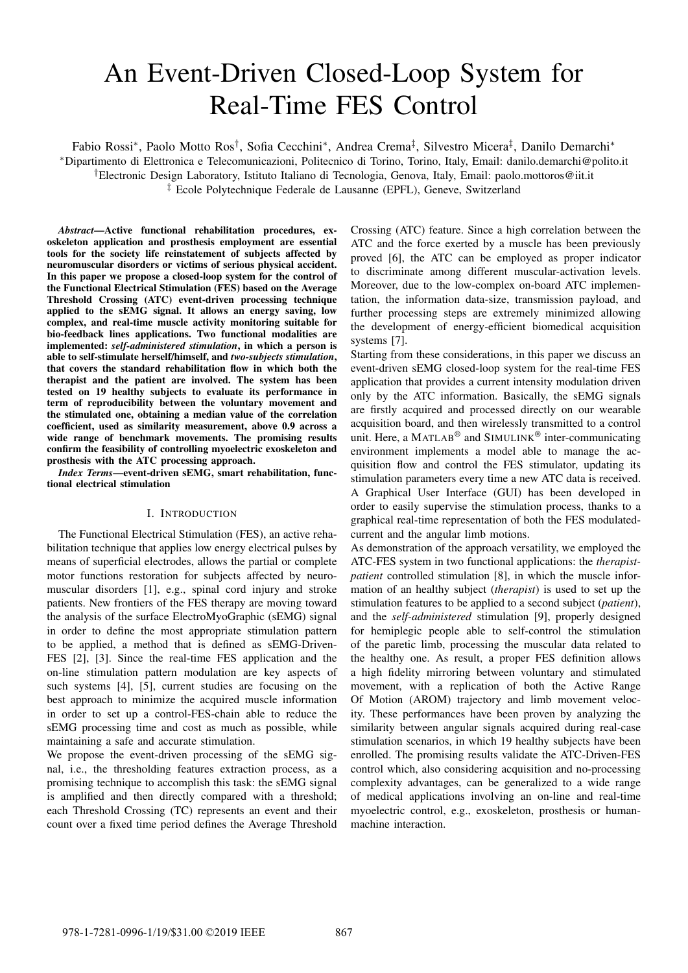# An Event-Driven Closed-Loop System for Real-Time FES Control

Fabio Rossi\*, Paolo Motto Ros<sup>†</sup>, Sofia Cecchini\*, Andrea Crema<sup>‡</sup>, Silvestro Micera<sup>‡</sup>, Danilo Demarchi\* <sup>∗</sup>Dipartimento di Elettronica e Telecomunicazioni, Politecnico di Torino, Torino, Italy, Email: danilo.demarchi@polito.it †Electronic Design Laboratory, Istituto Italiano di Tecnologia, Genova, Italy, Email: paolo.mottoros@iit.it ‡ Ecole Polytechnique Federale de Lausanne (EPFL), Geneve, Switzerland

*Abstract*—Active functional rehabilitation procedures, exoskeleton application and prosthesis employment are essential tools for the society life reinstatement of subjects affected by neuromuscular disorders or victims of serious physical accident. In this paper we propose a closed-loop system for the control of the Functional Electrical Stimulation (FES) based on the Average Threshold Crossing (ATC) event-driven processing technique applied to the sEMG signal. It allows an energy saving, low complex, and real-time muscle activity monitoring suitable for bio-feedback lines applications. Two functional modalities are implemented: *self-administered stimulation*, in which a person is able to self-stimulate herself/himself, and *two-subjects stimulation*, that covers the standard rehabilitation flow in which both the therapist and the patient are involved. The system has been tested on 19 healthy subjects to evaluate its performance in term of reproducibility between the voluntary movement and the stimulated one, obtaining a median value of the correlation coefficient, used as similarity measurement, above 0.9 across a wide range of benchmark movements. The promising results confirm the feasibility of controlling myoelectric exoskeleton and prosthesis with the ATC processing approach.

*Index Terms*—event-driven sEMG, smart rehabilitation, functional electrical stimulation

## I. INTRODUCTION

The Functional Electrical Stimulation (FES), an active rehabilitation technique that applies low energy electrical pulses by means of superficial electrodes, allows the partial or complete motor functions restoration for subjects affected by neuromuscular disorders [1], e.g., spinal cord injury and stroke patients. New frontiers of the FES therapy are moving toward the analysis of the surface ElectroMyoGraphic (sEMG) signal in order to define the most appropriate stimulation pattern to be applied, a method that is defined as sEMG-Driven-FES [2], [3]. Since the real-time FES application and the on-line stimulation pattern modulation are key aspects of such systems [4], [5], current studies are focusing on the best approach to minimize the acquired muscle information in order to set up a control-FES-chain able to reduce the sEMG processing time and cost as much as possible, while maintaining a safe and accurate stimulation.

We propose the event-driven processing of the sEMG signal, i.e., the thresholding features extraction process, as a promising technique to accomplish this task: the sEMG signal is amplified and then directly compared with a threshold; each Threshold Crossing (TC) represents an event and their count over a fixed time period defines the Average Threshold

Crossing (ATC) feature. Since a high correlation between the ATC and the force exerted by a muscle has been previously proved [6], the ATC can be employed as proper indicator to discriminate among different muscular-activation levels. Moreover, due to the low-complex on-board ATC implementation, the information data-size, transmission payload, and further processing steps are extremely minimized allowing the development of energy-efficient biomedical acquisition systems [7].

Starting from these considerations, in this paper we discuss an event-driven sEMG closed-loop system for the real-time FES application that provides a current intensity modulation driven only by the ATC information. Basically, the sEMG signals are firstly acquired and processed directly on our wearable acquisition board, and then wirelessly transmitted to a control unit. Here, a MATLAB® and SIMULINK® inter-communicating environment implements a model able to manage the acquisition flow and control the FES stimulator, updating its stimulation parameters every time a new ATC data is received. A Graphical User Interface (GUI) has been developed in order to easily supervise the stimulation process, thanks to a graphical real-time representation of both the FES modulatedcurrent and the angular limb motions.

As demonstration of the approach versatility, we employed the ATC-FES system in two functional applications: the *therapistpatient* controlled stimulation [8], in which the muscle information of an healthy subject (*therapist*) is used to set up the stimulation features to be applied to a second subject (*patient*), and the *self-administered* stimulation [9], properly designed for hemiplegic people able to self-control the stimulation of the paretic limb, processing the muscular data related to the healthy one. As result, a proper FES definition allows a high fidelity mirroring between voluntary and stimulated movement, with a replication of both the Active Range Of Motion (AROM) trajectory and limb movement velocity. These performances have been proven by analyzing the similarity between angular signals acquired during real-case stimulation scenarios, in which 19 healthy subjects have been enrolled. The promising results validate the ATC-Driven-FES control which, also considering acquisition and no-processing complexity advantages, can be generalized to a wide range of medical applications involving an on-line and real-time myoelectric control, e.g., exoskeleton, prosthesis or humanmachine interaction.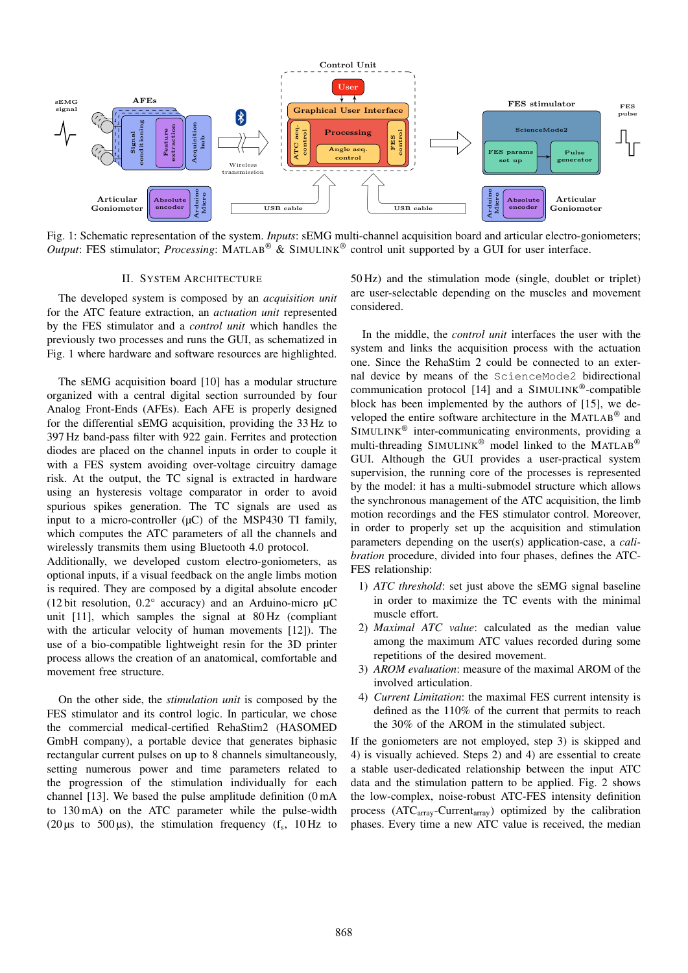

Fig. 1: Schematic representation of the system. *Inputs*: sEMG multi-channel acquisition board and articular electro-goniometers; *Output*: FES stimulator; *Processing*: MATLAB® & SIMULINK® control unit supported by a GUI for user interface.

#### II. SYSTEM ARCHITECTURE

The developed system is composed by an *acquisition unit* for the ATC feature extraction, an *actuation unit* represented by the FES stimulator and a *control unit* which handles the previously two processes and runs the GUI, as schematized in Fig. 1 where hardware and software resources are highlighted.

The sEMG acquisition board [10] has a modular structure organized with a central digital section surrounded by four Analog Front-Ends (AFEs). Each AFE is properly designed for the differential sEMG acquisition, providing the 33 Hz to 397 Hz band-pass filter with 922 gain. Ferrites and protection diodes are placed on the channel inputs in order to couple it with a FES system avoiding over-voltage circuitry damage risk. At the output, the TC signal is extracted in hardware using an hysteresis voltage comparator in order to avoid spurious spikes generation. The TC signals are used as input to a micro-controller  $(\mu C)$  of the MSP430 TI family, which computes the ATC parameters of all the channels and wirelessly transmits them using Bluetooth 4.0 protocol.

Additionally, we developed custom electro-goniometers, as optional inputs, if a visual feedback on the angle limbs motion is required. They are composed by a digital absolute encoder (12 bit resolution,  $0.2^{\circ}$  accuracy) and an Arduino-micro  $\mu$ C unit [11], which samples the signal at 80 Hz (compliant with the articular velocity of human movements [12]). The use of a bio-compatible lightweight resin for the 3D printer process allows the creation of an anatomical, comfortable and movement free structure.

On the other side, the *stimulation unit* is composed by the FES stimulator and its control logic. In particular, we chose the commercial medical-certified RehaStim2 (HASOMED GmbH company), a portable device that generates biphasic rectangular current pulses on up to 8 channels simultaneously, setting numerous power and time parameters related to the progression of the stimulation individually for each channel [13]. We based the pulse amplitude definition (0 mA to 130 mA) on the ATC parameter while the pulse-width (20  $\mu$ s to 500  $\mu$ s), the stimulation frequency (f<sub>s</sub>, 10 Hz to

50 Hz) and the stimulation mode (single, doublet or triplet) are user-selectable depending on the muscles and movement considered.

In the middle, the *control unit* interfaces the user with the system and links the acquisition process with the actuation one. Since the RehaStim 2 could be connected to an external device by means of the ScienceMode2 bidirectional communication protocol  $[14]$  and a SIMULINK<sup>®</sup>-compatible block has been implemented by the authors of [15], we developed the entire software architecture in the MATLAB® and  $SIMULINK^@$  inter-communicating environments, providing a multi-threading SIMULINK<sup>®</sup> model linked to the MATLAB<sup>®</sup> GUI. Although the GUI provides a user-practical system supervision, the running core of the processes is represented by the model: it has a multi-submodel structure which allows the synchronous management of the ATC acquisition, the limb motion recordings and the FES stimulator control. Moreover, in order to properly set up the acquisition and stimulation parameters depending on the user(s) application-case, a *calibration* procedure, divided into four phases, defines the ATC-FES relationship:

- 1) *ATC threshold*: set just above the sEMG signal baseline in order to maximize the TC events with the minimal muscle effort.
- 2) *Maximal ATC value*: calculated as the median value among the maximum ATC values recorded during some repetitions of the desired movement.
- 3) *AROM evaluation*: measure of the maximal AROM of the involved articulation.
- 4) *Current Limitation*: the maximal FES current intensity is defined as the 110% of the current that permits to reach the 30% of the AROM in the stimulated subject.

If the goniometers are not employed, step 3) is skipped and 4) is visually achieved. Steps 2) and 4) are essential to create a stable user-dedicated relationship between the input ATC data and the stimulation pattern to be applied. Fig. 2 shows the low-complex, noise-robust ATC-FES intensity definition process (ATC<sub>array</sub>-Current<sub>array</sub>) optimized by the calibration phases. Every time a new ATC value is received, the median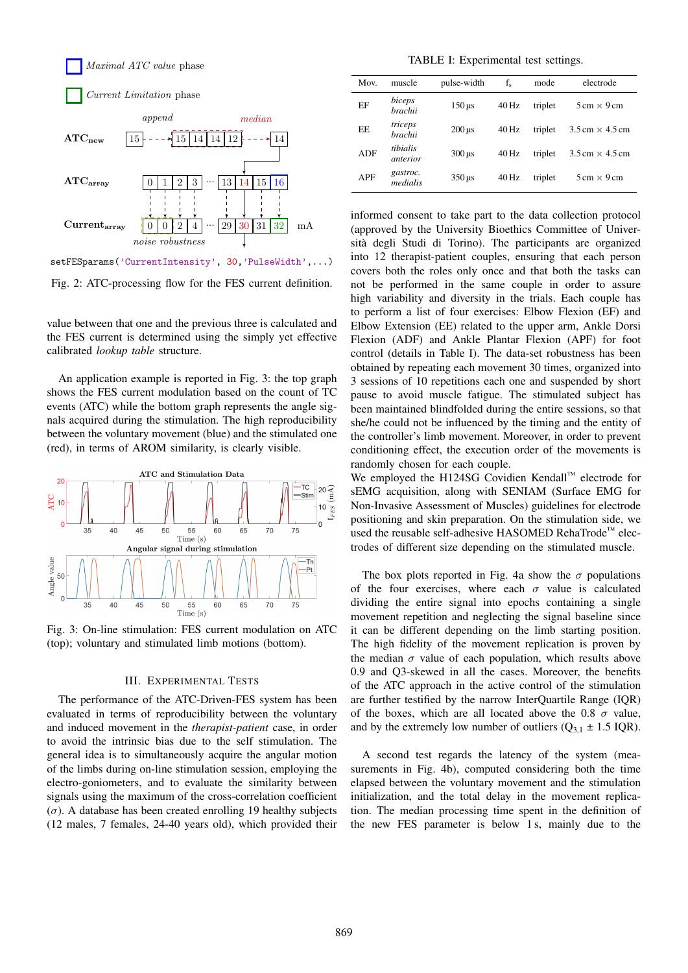

Fig. 2: ATC-processing flow for the FES current definition.

value between that one and the previous three is calculated and the FES current is determined using the simply yet effective calibrated *lookup table* structure.

An application example is reported in Fig. 3: the top graph shows the FES current modulation based on the count of TC events (ATC) while the bottom graph represents the angle signals acquired during the stimulation. The high reproducibility between the voluntary movement (blue) and the stimulated one (red), in terms of AROM similarity, is clearly visible.



Fig. 3: On-line stimulation: FES current modulation on ATC (top); voluntary and stimulated limb motions (bottom).

#### III. EXPERIMENTAL TESTS

The performance of the ATC-Driven-FES system has been evaluated in terms of reproducibility between the voluntary and induced movement in the *therapist-patient* case, in order to avoid the intrinsic bias due to the self stimulation. The general idea is to simultaneously acquire the angular motion of the limbs during on-line stimulation session, employing the electro-goniometers, and to evaluate the similarity between signals using the maximum of the cross-correlation coefficient  $(\sigma)$ . A database has been created enrolling 19 healthy subjects (12 males, 7 females, 24-40 years old), which provided their

TABLE I: Experimental test settings.

| Mov.       | muscle                    | pulse-width              | $f_s$   | mode    | electrode                              |  |
|------------|---------------------------|--------------------------|---------|---------|----------------------------------------|--|
| EF         | biceps<br><b>brachii</b>  | $150 \,\mathrm{\mu s}$   | $40$ Hz | triplet | $5 \text{ cm} \times 9 \text{ cm}$     |  |
| EE         | triceps<br><b>brachii</b> | $200 \,\mu s$            | $40$ Hz | triplet | $3.5 \text{ cm} \times 4.5 \text{ cm}$ |  |
| <b>ADF</b> | tibialis<br>anterior      | $300 \,\mathrm{\upmu s}$ | $40$ Hz | triplet | $3.5 \text{ cm} \times 4.5 \text{ cm}$ |  |
| APF        | gastroc.<br>medialis      | $350 \,\mathrm{us}$      | 40 Hz   | triplet | $5 \text{ cm} \times 9 \text{ cm}$     |  |

informed consent to take part to the data collection protocol (approved by the University Bioethics Committee of Universita degli Studi di Torino). The participants are organized ` into 12 therapist-patient couples, ensuring that each person covers both the roles only once and that both the tasks can not be performed in the same couple in order to assure high variability and diversity in the trials. Each couple has to perform a list of four exercises: Elbow Flexion (EF) and Elbow Extension (EE) related to the upper arm, Ankle Dorsi Flexion (ADF) and Ankle Plantar Flexion (APF) for foot control (details in Table I). The data-set robustness has been obtained by repeating each movement 30 times, organized into 3 sessions of 10 repetitions each one and suspended by short pause to avoid muscle fatigue. The stimulated subject has been maintained blindfolded during the entire sessions, so that she/he could not be influenced by the timing and the entity of the controller's limb movement. Moreover, in order to prevent conditioning effect, the execution order of the movements is randomly chosen for each couple.

We employed the H124SG Covidien Kendall™ electrode for sEMG acquisition, along with SENIAM (Surface EMG for Non-Invasive Assessment of Muscles) guidelines for electrode positioning and skin preparation. On the stimulation side, we used the reusable self-adhesive HASOMED RehaTrode™ electrodes of different size depending on the stimulated muscle.

The box plots reported in Fig. 4a show the  $\sigma$  populations of the four exercises, where each  $\sigma$  value is calculated dividing the entire signal into epochs containing a single movement repetition and neglecting the signal baseline since it can be different depending on the limb starting position. The high fidelity of the movement replication is proven by the median  $\sigma$  value of each population, which results above 0.9 and Q3-skewed in all the cases. Moreover, the benefits of the ATC approach in the active control of the stimulation are further testified by the narrow InterQuartile Range (IQR) of the boxes, which are all located above the 0.8  $\sigma$  value, and by the extremely low number of outliers  $(Q_{3,1} \pm 1.5 \text{ IQR})$ .

A second test regards the latency of the system (measurements in Fig. 4b), computed considering both the time elapsed between the voluntary movement and the stimulation initialization, and the total delay in the movement replication. The median processing time spent in the definition of the new FES parameter is below 1 s, mainly due to the